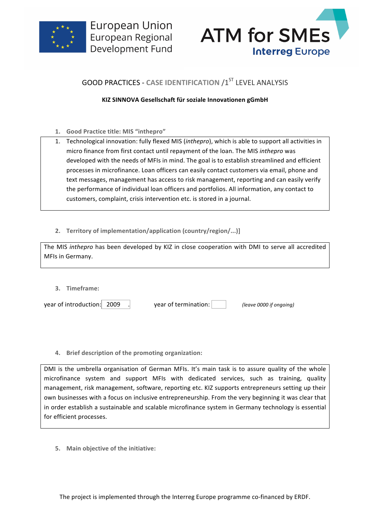



# **GOOD PRACTICES - CASE IDENTIFICATION /1ST LEVEL ANALYSIS**

## **KIZ SINNOVA Gesellschaft für soziale Innovationen gGmbH**

- **1. Good Practice title: MIS "inthepro"**
- 1. Technological innovation: fully flexed MIS (*inthepro*), which is able to support all activities in micro finance from first contact until repayment of the loan. The MIS *inthepro* was developed with the needs of MFIs in mind. The goal is to establish streamlined and efficient processes in microfinance. Loan officers can easily contact customers via email, phone and text messages, management has access to risk management, reporting and can easily verify the performance of individual loan officers and portfolios. All information, any contact to customers, complaint, crisis intervention etc. is stored in a journal.
- **2. Territory of implementation/application (country/region/...)]**

The MIS *inthepro* has been developed by KIZ in close cooperation with DMI to serve all accredited MFIs in Germany.

**3. Timeframe:**

| year of introduction: 2009 | year of termination: | (leave 0000 if ongoing) |
|----------------------------|----------------------|-------------------------|
|                            |                      |                         |

**4.** Brief description of the promoting organization:

DMI is the umbrella organisation of German MFIs. It's main task is to assure quality of the whole microfinance system and support MFIs with dedicated services, such as training, quality management, risk management, software, reporting etc. KIZ supports entrepreneurs setting up their own businesses with a focus on inclusive entrepreneurship. From the very beginning it was clear that in order establish a sustainable and scalable microfinance system in Germany technology is essential for efficient processes.

**5.** Main objective of the initiative: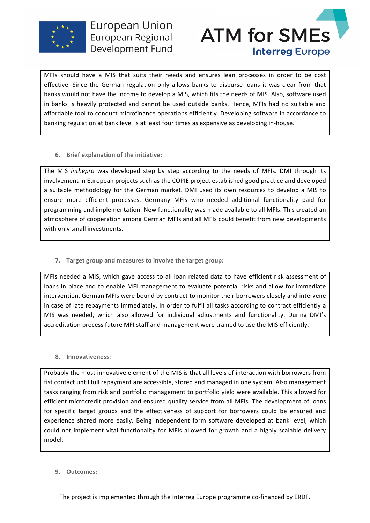



MFIs should have a MIS that suits their needs and ensures lean processes in order to be cost effective. Since the German regulation only allows banks to disburse loans it was clear from that banks would not have the income to develop a MIS, which fits the needs of MIS. Also, software used in banks is heavily protected and cannot be used outside banks. Hence, MFIs had no suitable and affordable tool to conduct microfinance operations efficiently. Developing software in accordance to banking regulation at bank level is at least four times as expensive as developing in-house.

#### **6.** Brief explanation of the initiative:

The MIS inthepro was developed step by step according to the needs of MFIs. DMI through its involvement in European projects such as the COPIE project established good practice and developed a suitable methodology for the German market. DMI used its own resources to develop a MIS to ensure more efficient processes. Germany MFIs who needed additional functionality paid for programming and implementation. New functionality was made available to all MFIs. This created an atmosphere of cooperation among German MFIs and all MFIs could benefit from new developments with only small investments.

**7. Target group and measures to involve the target group:** 

MFIs needed a MIS, which gave access to all loan related data to have efficient risk assessment of loans in place and to enable MFI management to evaluate potential risks and allow for immediate intervention. German MFIs were bound by contract to monitor their borrowers closely and intervene in case of late repayments immediately. In order to fulfil all tasks according to contract efficiently a MIS was needed, which also allowed for individual adjustments and functionality. During DMI's accreditation process future MFI staff and management were trained to use the MIS efficiently.

### **8. Innovativeness:**

Probably the most innovative element of the MIS is that all levels of interaction with borrowers from fist contact until full repayment are accessible, stored and managed in one system. Also management tasks ranging from risk and portfolio management to portfolio yield were available. This allowed for efficient microcredit provision and ensured quality service from all MFIs. The development of loans for specific target groups and the effectiveness of support for borrowers could be ensured and experience shared more easily. Being independent form software developed at bank level, which could not implement vital functionality for MFIs allowed for growth and a highly scalable delivery model.

**9. Outcomes:**

The project is implemented through the Interreg Europe programme co-financed by ERDF.